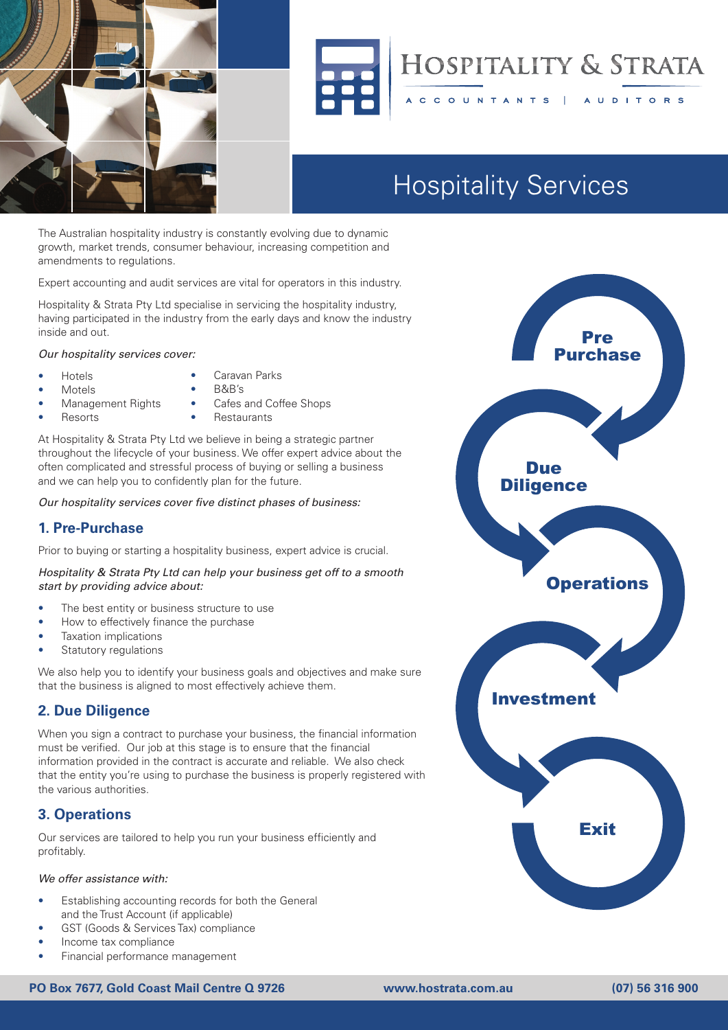



# **HOSPITALITY & STRATA**

**AUDITORS** 

# **Hospitality Services** Hospitality Services

CCOUNTANTS

The Australian hospitality industry is constantly evolving due to dynamic growth, market trends, consumer behaviour, increasing competition and amendments to regulations.

Expert accounting and audit services are vital for operators in this industry. expert accounting and addit services are vital for operators in this industr

Hospitality & Strata Pty Ltd specialise in servicing the hospitality industry, having participated in the industry from the early days and know the industry tailored out services to match. From our involvement in the industry, the industry,  $\frac{1}{2}$ 

*Our hospitality services cover:* Car hoppitumly scribble cover.

- Hotels
- Hotels Caravan Parks
- Motels
- B&B's
- Management Rights<br>• Resorts • Resorts
- Cafes and Coffee Shops • Restaurants

At Hospitality & Strata Pty Ltd we believe in being a strategic partner throughout the lifecycle of your business. We offer expert advice about the often complicated and stressful process of buying or selling a business and we can help you to confidently plan for the future.

Our hospitality services cover five distinct phases of business: Our nospitality services cover five district phases of business.

# **1. Pre-Purchase**

Prior to buying or starting a hospitality business, expert advice is crucial.<br>**Purchase a contract of the above and the contract of the contract of the contract of the contract of the contra** 

## *Hospitality & Strata Pty Ltd can help your business get off to a smooth*  start by providing advice about:

- The best entity or business structure to use **the stage is to make sure that the financial information provided in the financial information provided in the financial information provided in the financial information provided in the financial information provided in**
- How to effectively finance the purchase<br>contract is accurate and you can relate the sure that the sure that the sure that the sure that the sure that
	- Taxation implications
- Fraxistion implications<br>• Statutory regulations Gratator y rogalatio

We also help you to identify your business goals and objectives and make sure that the business is aligned to most effectively achieve them.

# **2. Due Diligence**

When you sign a contract to purchase your business, the financial information must be verified. Our job at this stage is to ensure that the financial information provided in the contract is accurate and reliable. We also check that the entity you're using to purchase the business is properly registered with the various authorities. The management of your business was and performance management for your business.

### **3. Operations** and the audit of the audit of the audit of the audit of the audit of the audit of the Account. We are make sure that you meet all of your statutory responsibilities with the your statutory responsibilities with the your statutory responsibilities with the your statutory responsibilities with the young statutory responsibil

Our services are tailored to help you run your business efficiently and profitably.

# *We offer assistance with:*

- Establishing accounting records for both the General The Trust Account (if applicable)<br>and the Trust Account (if applicable)
	- GST (Goods & Services Tax) compliance
- Income tax compliance
- Financial performance management